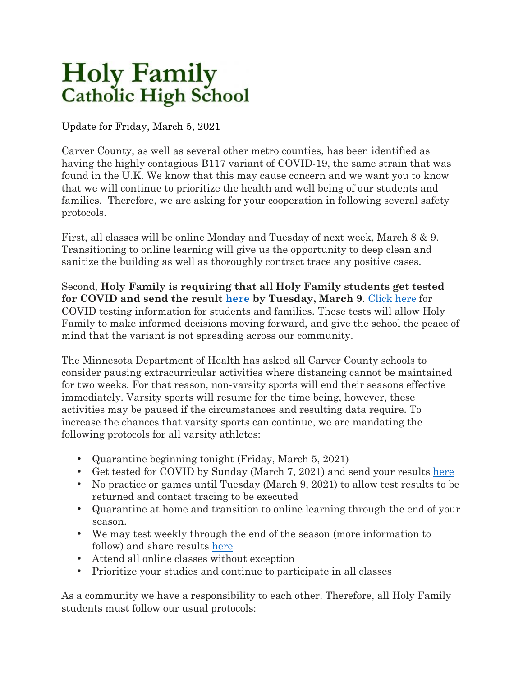## **Holy Family Catholic High School**

Update for Friday, March 5, 2021

Carver County, as well as several other metro counties, has been identified as having the highly contagious B117 variant of COVID-19, the same strain that was found in the U.K. We know that this may cause concern and we want you to know that we will continue to prioritize the health and well being of our students and families. Therefore, we are asking for your cooperation in following several safety protocols.

First, all classes will be online Monday and Tuesday of next week, March 8 & 9. Transitioning to online learning will give us the opportunity to deep clean and sanitize the building as well as thoroughly contract trace any positive cases.

Second, **Holy Family is requiring that all Holy Family students get tested for COVID and send the result here by Tuesday, March 9**. Click here for COVID testing information for students and families. These tests will allow Holy Family to make informed decisions moving forward, and give the school the peace of mind that the variant is not spreading across our community.

The Minnesota Department of Health has asked all Carver County schools to consider pausing extracurricular activities where distancing cannot be maintained for two weeks. For that reason, non-varsity sports will end their seasons effective immediately. Varsity sports will resume for the time being, however, these activities may be paused if the circumstances and resulting data require. To increase the chances that varsity sports can continue, we are mandating the following protocols for all varsity athletes:

- Quarantine beginning tonight (Friday, March 5, 2021)
- Get tested for COVID by Sunday (March 7, 2021) and send your results here
- No practice or games until Tuesday (March 9, 2021) to allow test results to be returned and contact tracing to be executed
- Quarantine at home and transition to online learning through the end of your season.
- We may test weekly through the end of the season (more information to follow) and share results here
- Attend all online classes without exception
- Prioritize your studies and continue to participate in all classes

As a community we have a responsibility to each other. Therefore, all Holy Family students must follow our usual protocols: